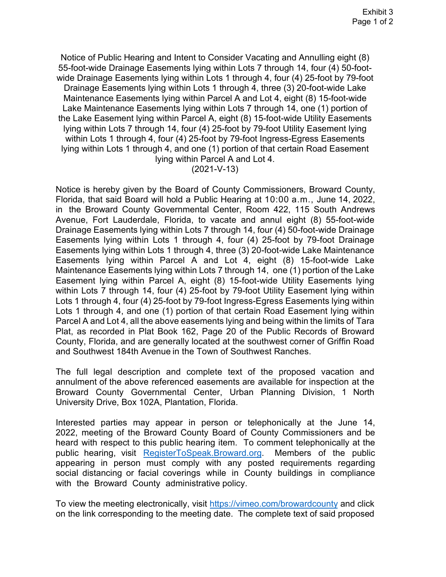Notice of Public Hearing and Intent to Consider Vacating and Annulling eight (8) 55-foot-wide Drainage Easements lying within Lots 7 through 14, four (4) 50-foot- wide Drainage Easements lying within Lots 1 through 4, four (4) 25-foot by 79-foot Drainage Easements lying within Lots 1 through 4, three (3) 20-foot-wide Lake Maintenance Easements lying within Parcel A and Lot 4, eight (8) 15-foot-wide Lake Maintenance Easements lying within Lots 7 through 14, one (1) portion of the Lake Easement lying within Parcel A, eight (8) 15-foot-wide Utility Easements lying within Lots 7 through 14, four (4) 25-foot by 79-foot Utility Easement lying within Lots 1 through 4, four (4) 25-foot by 79-foot Ingress-Egress Easements lying within Parcel A and Lot 4. lying within Lots 1 through 4, and one (1) portion of that certain Road Easement

(2021-V-13)

 Notice is hereby given by the Board of County Commissioners, Broward County, Florida, that said Board will hold a Public Hearing at 10:00 a.m., June 14, 2022, Avenue, Fort Lauderdale, Florida, to vacate and annul eight (8) 55-foot-wide Plat, as recorded in Plat Book 162, Page 20 of the Public Records of Broward County, Florida, and are generally located at the southwest corner of Griffin Road in the Broward County Governmental Center, Room 422, 115 South Andrews Drainage Easements lying within Lots 7 through 14, four (4) 50-foot-wide Drainage Easements lying within Lots 1 through 4, four (4) 25-foot by 79-foot Drainage Easements lying within Lots 1 through 4, three (3) 20-foot-wide Lake Maintenance Easements lying within Parcel A and Lot 4, eight (8) 15-foot-wide Lake Maintenance Easements lying within Lots 7 through 14, one (1) portion of the Lake Easement lying within Parcel A, eight (8) 15-foot-wide Utility Easements lying within Lots 7 through 14, four (4) 25-foot by 79-foot Utility Easement lying within Lots 1 through 4, four (4) 25-foot by 79-foot Ingress-Egress Easements lying within Lots 1 through 4, and one (1) portion of that certain Road Easement lying within Parcel A and Lot 4, all the above easements lying and being within the limits of Tara and Southwest 184th Avenue in the Town of Southwest Ranches.

 University Drive, Box 102A, Plantation, Florida. The full legal description and complete text of the proposed vacation and annulment of the above referenced easements are available for inspection at the Broward County Governmental Center, Urban Planning Division, 1 North

Interested parties may appear in person or telephonically at the June 14, 2022, meeting of the Broward County Board of County Commissioners and be heard with respect to this public hearing item. To comment telephonically at the public hearing, visit [RegisterToSpeak.Broward.org](https://www.broward.org/Pages/RegisterToSpeak.aspx). Members of the public appearing in person must comply with any posted requirements regarding social distancing or facial coverings while in County buildings in compliance with the Broward County administrative policy.

To view the meeting electronically, visi[t https://vimeo.com/browardcounty](https://vimeo.com/browardcounty) and click on the link corresponding to the meeting date. The complete text of said proposed